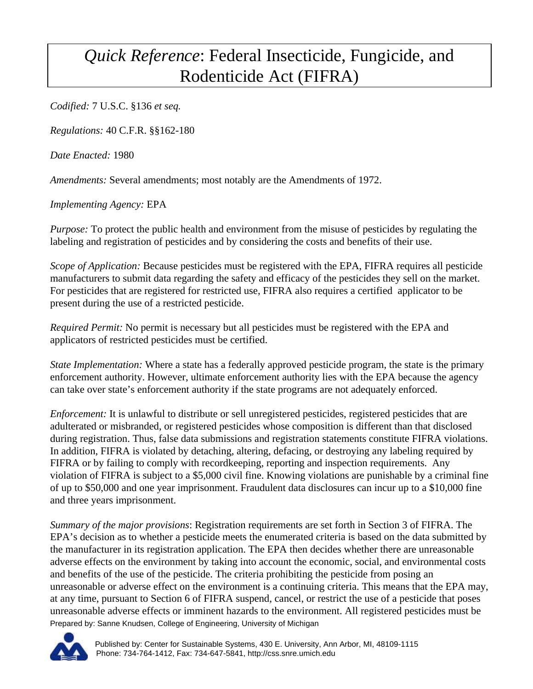## *Quick Reference*: Federal Insecticide, Fungicide, and Rodenticide Act (FIFRA)

*Codified:* 7 U.S.C. §136 *et seq.*

*Regulations:* 40 C.F.R. §§162-180

*Date Enacted:* 1980

*Amendments:* Several amendments; most notably are the Amendments of 1972.

*Implementing Agency:* EPA

*Purpose:* To protect the public health and environment from the misuse of pesticides by regulating the labeling and registration of pesticides and by considering the costs and benefits of their use.

*Scope of Application:* Because pesticides must be registered with the EPA, FIFRA requires all pesticide manufacturers to submit data regarding the safety and efficacy of the pesticides they sell on the market. For pesticides that are registered for restricted use, FIFRA also requires a certified applicator to be present during the use of a restricted pesticide.

*Required Permit:* No permit is necessary but all pesticides must be registered with the EPA and applicators of restricted pesticides must be certified.

*State Implementation:* Where a state has a federally approved pesticide program, the state is the primary enforcement authority. However, ultimate enforcement authority lies with the EPA because the agency can take over state's enforcement authority if the state programs are not adequately enforced.

*Enforcement:* It is unlawful to distribute or sell unregistered pesticides, registered pesticides that are adulterated or misbranded, or registered pesticides whose composition is different than that disclosed during registration. Thus, false data submissions and registration statements constitute FIFRA violations. In addition, FIFRA is violated by detaching, altering, defacing, or destroying any labeling required by FIFRA or by failing to comply with recordkeeping, reporting and inspection requirements. Any violation of FIFRA is subject to a \$5,000 civil fine. Knowing violations are punishable by a criminal fine of up to \$50,000 and one year imprisonment. Fraudulent data disclosures can incur up to a \$10,000 fine and three years imprisonment.

Prepared by: Sanne Knudsen, College of Engineering, University of Michigan *Summary of the major provisions*: Registration requirements are set forth in Section 3 of FIFRA. The EPA's decision as to whether a pesticide meets the enumerated criteria is based on the data submitted by the manufacturer in its registration application. The EPA then decides whether there are unreasonable adverse effects on the environment by taking into account the economic, social, and environmental costs and benefits of the use of the pesticide. The criteria prohibiting the pesticide from posing an unreasonable or adverse effect on the environment is a continuing criteria. This means that the EPA may, at any time, pursuant to Section 6 of FIFRA suspend, cancel, or restrict the use of a pesticide that poses unreasonable adverse effects or imminent hazards to the environment. All registered pesticides must be